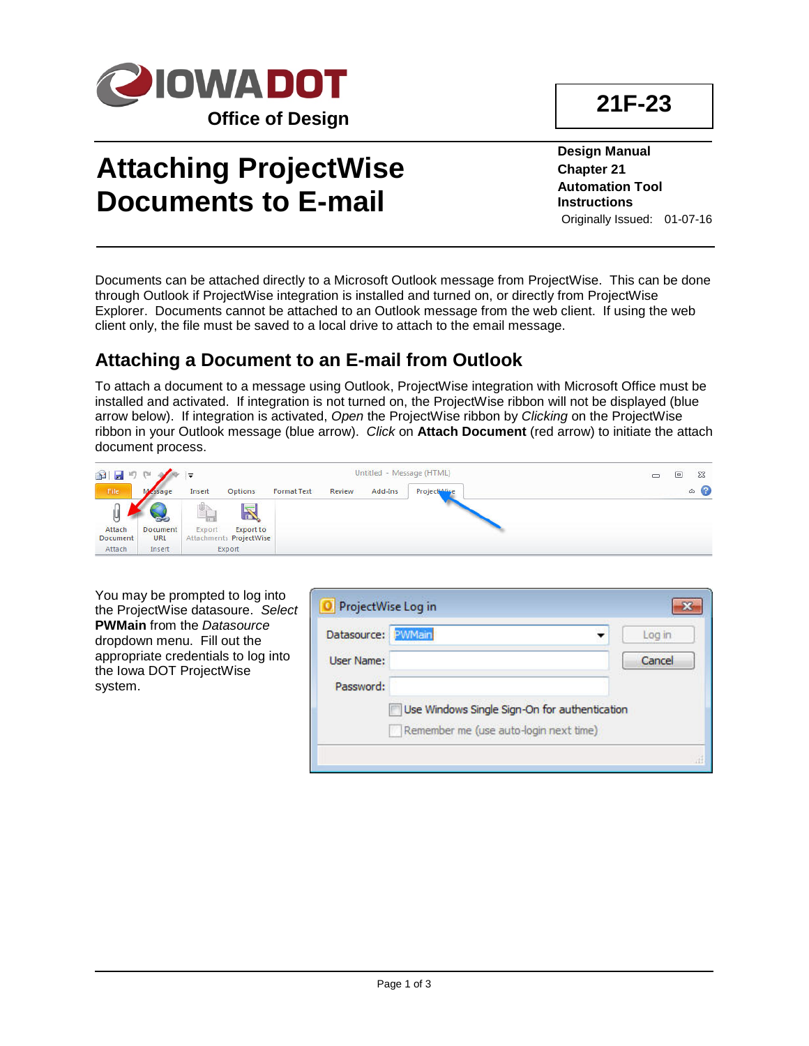

# **Attaching ProjectWise Documents to E-mail**

**Design Manual Chapter 21 Automation Tool Instructions** Originally Issued: 01-07-16

Documents can be attached directly to a Microsoft Outlook message from ProjectWise. This can be done through Outlook if ProjectWise integration is installed and turned on, or directly from ProjectWise Explorer. Documents cannot be attached to an Outlook message from the web client. If using the web client only, the file must be saved to a local drive to attach to the email message.

# **Attaching a Document to an E-mail from Outlook**

To attach a document to a message using Outlook, ProjectWise integration with Microsoft Office must be installed and activated. If integration is not turned on, the ProjectWise ribbon will not be displayed (blue arrow below). If integration is activated, *Open* the ProjectWise ribbon by *Clicking* on the ProjectWise ribbon in your Outlook message (blue arrow). *Click* on **Attach Document** (red arrow) to initiate the attach document process.



| You may be prompted to log into<br>the ProjectWise datasoure. Select | ProjectWise Log in |                                               |        |  |  |  |
|----------------------------------------------------------------------|--------------------|-----------------------------------------------|--------|--|--|--|
| <b>PWMain from the Datasource</b><br>dropdown menu. Fill out the     | Datasource: PWMain |                                               | Log in |  |  |  |
| appropriate credentials to log into<br>the Iowa DOT ProjectWise      | User Name:         |                                               | Cancel |  |  |  |
| system.                                                              | Password:          |                                               |        |  |  |  |
|                                                                      |                    | Use Windows Single Sign-On for authentication |        |  |  |  |
|                                                                      |                    | Remember me (use auto-login next time)        |        |  |  |  |
|                                                                      |                    |                                               |        |  |  |  |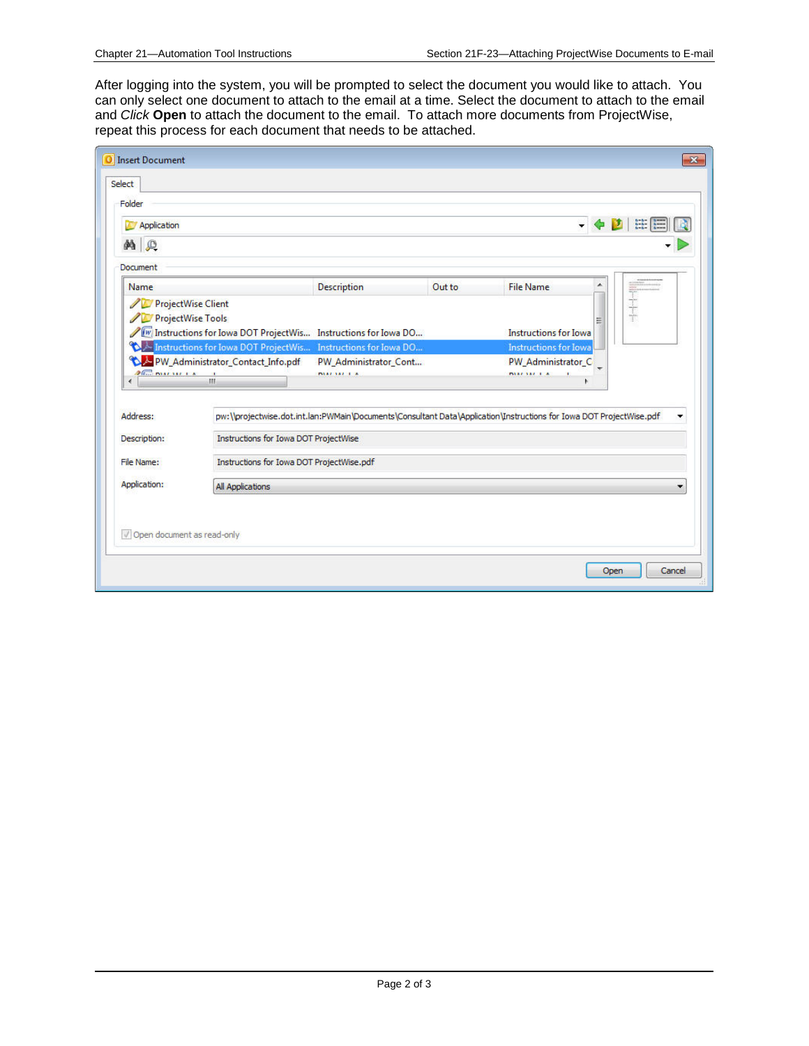After logging into the system, you will be prompted to select the document you would like to attach. You can only select one document to attach to the email at a time. Select the document to attach to the email and *Click* **Open** to attach the document to the email. To attach more documents from ProjectWise, repeat this process for each document that needs to be attached.

| Select<br>Folder            |                                                                                                                                                                                                                                        |                       |        |                                                                                                                     |                          |
|-----------------------------|----------------------------------------------------------------------------------------------------------------------------------------------------------------------------------------------------------------------------------------|-----------------------|--------|---------------------------------------------------------------------------------------------------------------------|--------------------------|
| Application                 |                                                                                                                                                                                                                                        |                       |        |                                                                                                                     | $\frac{a-b}{a-b}$ =<br>D |
| $\mathcal{P}$<br>øå.        |                                                                                                                                                                                                                                        |                       |        |                                                                                                                     |                          |
| Document                    |                                                                                                                                                                                                                                        |                       |        |                                                                                                                     |                          |
| Name                        |                                                                                                                                                                                                                                        | Description           | Out to | <b>File Name</b>                                                                                                    |                          |
| 70                          | <b>ProjectWise Client</b><br><b>ProjectWise Tools</b><br>Instructions for Iowa DOT ProjectWis Instructions for Iowa DO<br><b>TA Instructions for Iowa DOT ProjectWis</b> Instructions for Iowa DO<br>PW_Administrator_Contact_Info.pdf | PW_Administrator_Cont |        | 笎<br>Instructions for Iowa<br><b>Instructions for Iowa</b><br>PW Administrator C                                    | İ                        |
| $26.7$ mats at $x = 1$<br>٠ | m.                                                                                                                                                                                                                                     | <b>INTAR AREA</b>     |        | <b>MALANE LA</b>                                                                                                    |                          |
| Address:                    |                                                                                                                                                                                                                                        |                       |        | pw:\\projectwise.dot.int.lan:PWMain\Documents\Consultant Data\Application\Instructions for Iowa DOT ProjectWise.pdf |                          |
| Description:                | Instructions for Iowa DOT ProjectWise                                                                                                                                                                                                  |                       |        |                                                                                                                     |                          |
| File Name:                  | Instructions for Iowa DOT ProjectWise.pdf                                                                                                                                                                                              |                       |        |                                                                                                                     |                          |
| Application:                | <b>All Applications</b>                                                                                                                                                                                                                |                       |        |                                                                                                                     |                          |
| Open document as read-only  |                                                                                                                                                                                                                                        |                       |        |                                                                                                                     |                          |
|                             |                                                                                                                                                                                                                                        |                       |        |                                                                                                                     | Open<br>Cancel           |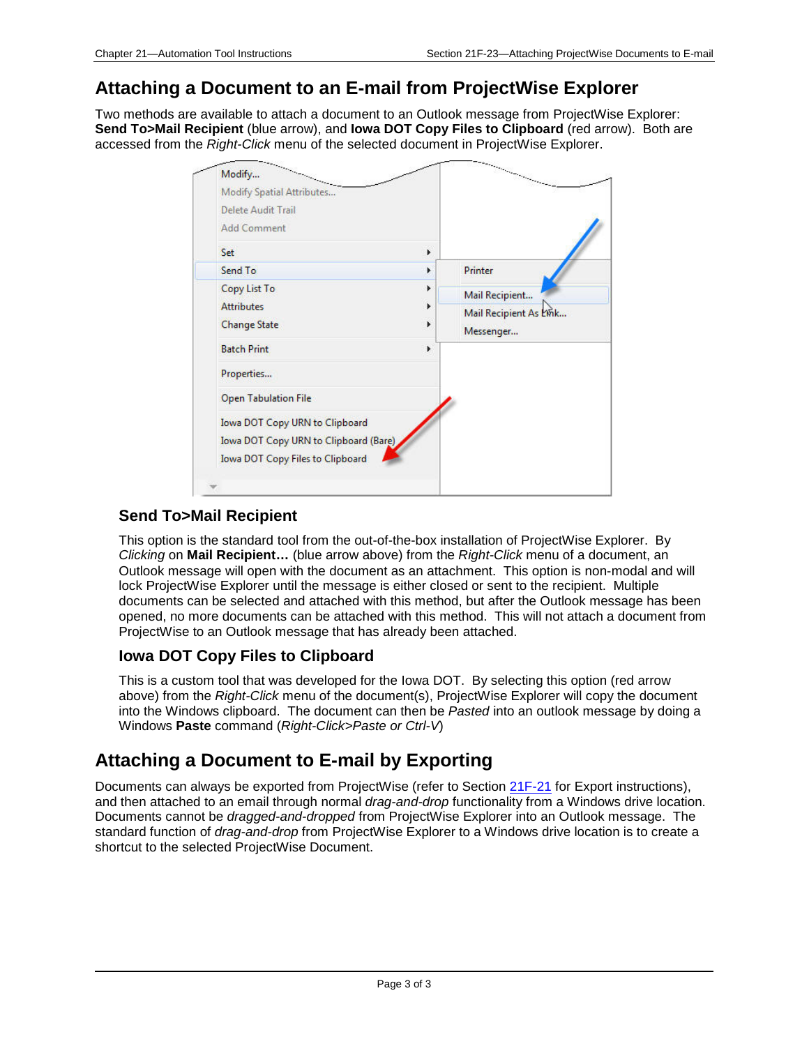## **Attaching a Document to an E-mail from ProjectWise Explorer**

Two methods are available to attach a document to an Outlook message from ProjectWise Explorer: **Send To>Mail Recipient** (blue arrow), and **Iowa DOT Copy Files to Clipboard** (red arrow). Both are accessed from the *Right-Click* menu of the selected document in ProjectWise Explorer.

| Delete Audit Trail<br><b>Add Comment</b> |   |                        |
|------------------------------------------|---|------------------------|
| Set                                      | F |                        |
| Send To                                  | r | Printer                |
| Copy List To                             | r | Mail Recipient         |
| <b>Attributes</b>                        | Þ | Mail Recipient As Link |
| <b>Change State</b>                      | r | Messenger              |
| <b>Batch Print</b>                       | r |                        |
| Properties                               |   |                        |
| <b>Open Tabulation File</b>              |   |                        |
| Iowa DOT Copy URN to Clipboard           |   |                        |
| Iowa DOT Copy URN to Clipboard (Bare)    |   |                        |
| <b>Iowa DOT Copy Files to Clipboard</b>  |   |                        |

#### **Send To>Mail Recipient**

This option is the standard tool from the out-of-the-box installation of ProjectWise Explorer. By *Clicking* on **Mail Recipient…** (blue arrow above) from the *Right-Click* menu of a document, an Outlook message will open with the document as an attachment. This option is non-modal and will lock ProjectWise Explorer until the message is either closed or sent to the recipient. Multiple documents can be selected and attached with this method, but after the Outlook message has been opened, no more documents can be attached with this method. This will not attach a document from ProjectWise to an Outlook message that has already been attached.

#### **Iowa DOT Copy Files to Clipboard**

This is a custom tool that was developed for the Iowa DOT. By selecting this option (red arrow above) from the *Right-Click* menu of the document(s), ProjectWise Explorer will copy the document into the Windows clipboard. The document can then be *Pasted* into an outlook message by doing a Windows **Paste** command (*Right-Click>Paste or Ctrl-V*)

## **Attaching a Document to E-mail by Exporting**

Documents can always be exported from ProjectWise (refer to Section 21F-21 for Export instructions), and then attached to an email through normal *drag-and-drop* functionality from a Windows drive location. Documents cannot be *dragged-and-dropped* from ProjectWise Explorer into an Outlook message. The standard function of *drag-and-drop* from ProjectWise Explorer to a Windows drive location is to create a shortcut to the selected ProjectWise Document.